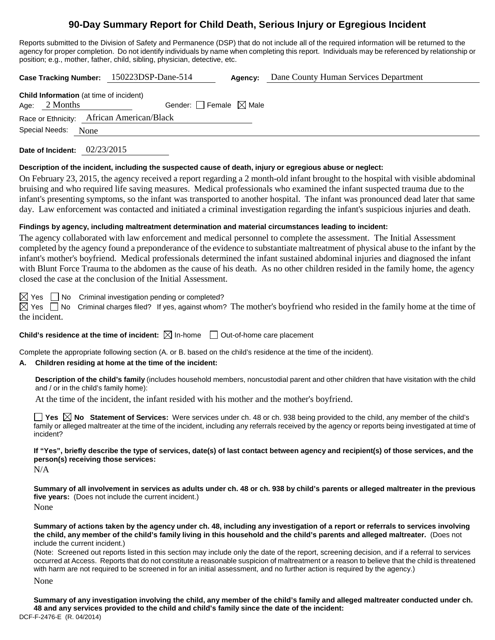# **90-Day Summary Report for Child Death, Serious Injury or Egregious Incident**

Reports submitted to the Division of Safety and Permanence (DSP) that do not include all of the required information will be returned to the agency for proper completion. Do not identify individuals by name when completing this report. Individuals may be referenced by relationship or position; e.g., mother, father, child, sibling, physician, detective, etc.

**Case Tracking Number:** 150223DSP-Dane-514 **Agency:** Dane County Human Services Department **Child Information** (at time of incident) Age:  $2$  Months Gender: Female  $\boxtimes$  Male Race or Ethnicity: African American/Black Special Needs: None **Date of Incident:** 02/23/2015

**Description of the incident, including the suspected cause of death, injury or egregious abuse or neglect:**

On February 23, 2015, the agency received a report regarding a 2 month-old infant brought to the hospital with visible abdominal bruising and who required life saving measures. Medical professionals who examined the infant suspected trauma due to the infant's presenting symptoms, so the infant was transported to another hospital. The infant was pronounced dead later that same day. Law enforcement was contacted and initiated a criminal investigation regarding the infant's suspicious injuries and death.

## **Findings by agency, including maltreatment determination and material circumstances leading to incident:**

The agency collaborated with law enforcement and medical personnel to complete the assessment. The Initial Assessment completed by the agency found a preponderance of the evidence to substantiate maltreatment of physical abuse to the infant by the infant's mother's boyfriend. Medical professionals determined the infant sustained abdominal injuries and diagnosed the infant with Blunt Force Trauma to the abdomen as the cause of his death. As no other children resided in the family home, the agency closed the case at the conclusion of the Initial Assessment.

 $\boxtimes$  Yes  $\Box$  No Criminal investigation pending or completed?

 $\boxtimes$  Yes  $\Box$  No Criminal charges filed? If yes, against whom? The mother's boyfriend who resided in the family home at the time of the incident.

**Child's residence at the time of incident:**  $\boxtimes$  In-home  $\Box$  Out-of-home care placement

Complete the appropriate following section (A. or B. based on the child's residence at the time of the incident).

## **A. Children residing at home at the time of the incident:**

**Description of the child's family** (includes household members, noncustodial parent and other children that have visitation with the child and / or in the child's family home):

At the time of the incident, the infant resided with his mother and the mother's boyfriend.

■ Yes **No** Statement of Services: Were services under ch. 48 or ch. 938 being provided to the child, any member of the child's family or alleged maltreater at the time of the incident, including any referrals received by the agency or reports being investigated at time of incident?

**If "Yes", briefly describe the type of services, date(s) of last contact between agency and recipient(s) of those services, and the person(s) receiving those services:**

 $N/A$ 

**Summary of all involvement in services as adults under ch. 48 or ch. 938 by child's parents or alleged maltreater in the previous five years:** (Does not include the current incident.) None

**Summary of actions taken by the agency under ch. 48, including any investigation of a report or referrals to services involving the child, any member of the child's family living in this household and the child's parents and alleged maltreater.** (Does not include the current incident.)

(Note: Screened out reports listed in this section may include only the date of the report, screening decision, and if a referral to services occurred at Access. Reports that do not constitute a reasonable suspicion of maltreatment or a reason to believe that the child is threatened with harm are not required to be screened in for an initial assessment, and no further action is required by the agency.)

None

DCF-F-2476-E (R. 04/2014) **Summary of any investigation involving the child, any member of the child's family and alleged maltreater conducted under ch. 48 and any services provided to the child and child's family since the date of the incident:**